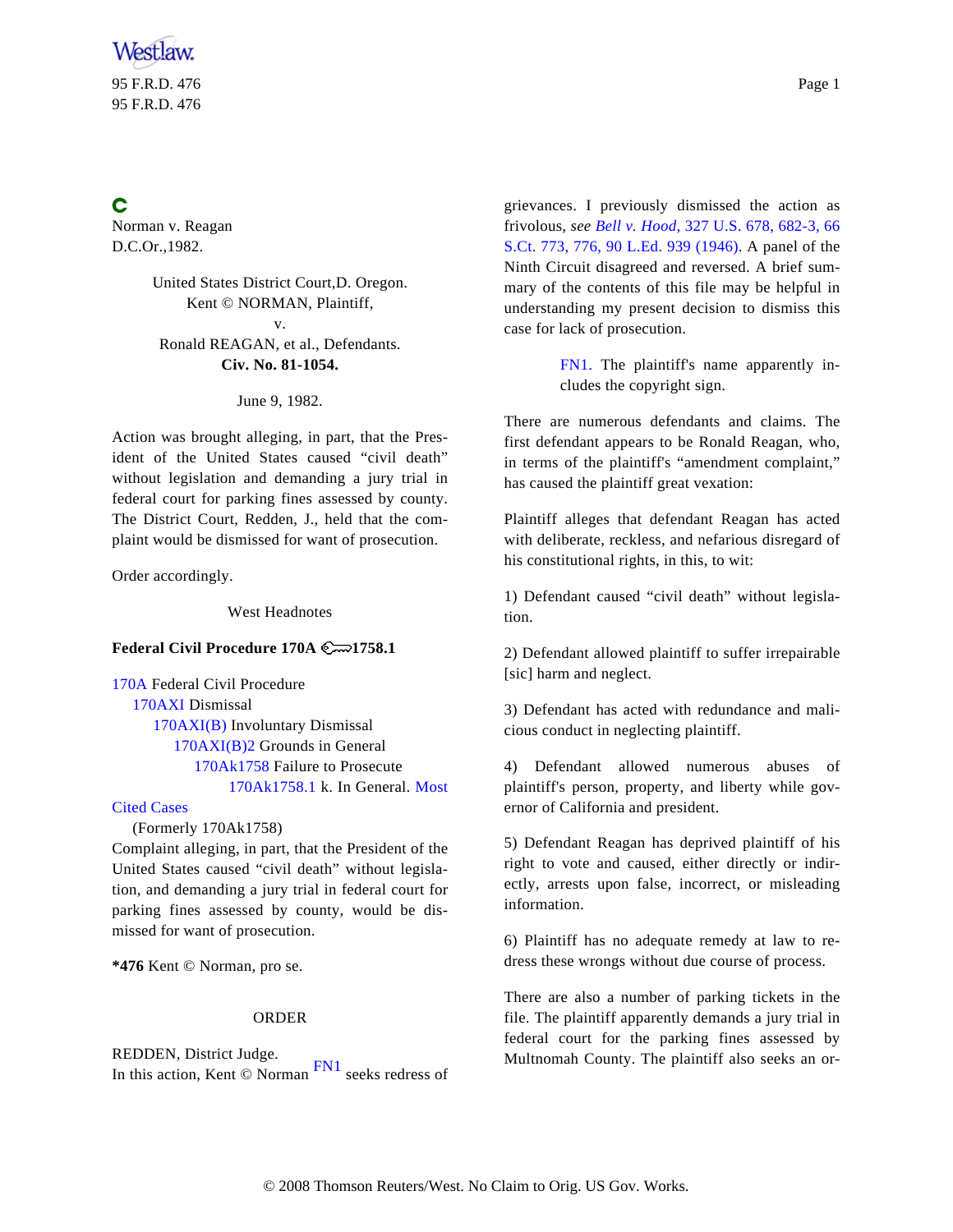95 F.R.D. 476 Page 1 95 F.R.D. 476

## C

Norman v. Reagan D.C.Or.,1982.

# United States District Court,D. Oregon. Kent © NORMAN, Plaintiff,

<span id="page-0-0"></span>v. Ronald REAGAN, et al., Defendants. **Civ. No. 81-1054.**

June 9, 1982.

Action was brought alleging, in part, that the President of the United States caused "civil death" without legislation and demanding a jury trial in federal court for parking fines assessed by county. The District Court, Redden, J., held that the complaint would be dismissed for want of prosecution.

Order accordingly.

West Headnotes

#### **Federal Civil Procedure 170A 1758.1**

[170A](http://www.westlaw.com/KeyNumber/Default.wl?rs=FIPI1.0&vr=2.0&CMD=KEY&DocName=170A) Federal Civil Procedure [170AXI](http://www.westlaw.com/KeyNumber/Default.wl?rs=FIPI1.0&vr=2.0&CMD=KEY&DocName=170AXI) Dismissal [170AXI\(B\)](http://www.westlaw.com/KeyNumber/Default.wl?rs=FIPI1.0&vr=2.0&CMD=KEY&DocName=170AXI%28B%29) Involuntary Dismissal [170AXI\(B\)2](http://www.westlaw.com/KeyNumber/Default.wl?rs=FIPI1.0&vr=2.0&CMD=KEY&DocName=170AXI%28B%292) Grounds in General [170Ak1758](http://www.westlaw.com/KeyNumber/Default.wl?rs=FIPI1.0&vr=2.0&CMD=KEY&DocName=170Ak1758) Failure to Prosecute [170Ak1758.1](http://www.westlaw.com/KeyNumber/Default.wl?rs=FIPI1.0&vr=2.0&CMD=KEY&DocName=170Ak1758.1) k. In General. [Most](http://www.westlaw.com/Digest/Default.wl?rs=FIPI1.0&vr=2.0&CMD=MCC&DocName=170Ak1758.1)

### [Cited Cases](http://www.westlaw.com/Digest/Default.wl?rs=FIPI1.0&vr=2.0&CMD=MCC&DocName=170Ak1758.1)

(Formerly 170Ak1758)

Complaint alleging, in part, that the President of the United States caused "civil death" without legislation, and demanding a jury trial in federal court for parking fines assessed by county, would be dismissed for want of prosecution.

**\*476** Kent © Norman, pro se.

#### ORDER

<span id="page-0-1"></span>REDDEN, District Judge. In this action, Kent © Norman [FN1](#page-0-0) seeks redress of

grievances. I previously dismissed the action as frivolous, *see [Bell v. Hood,](http://www.westlaw.com/Find/Default.wl?rs=FIPI1.0&vr=2.0&DB=708&FindType=Y&ReferencePositionType=S&SerialNum=1946112790&ReferencePosition=776)* [327 U.S. 678, 682-3, 66](http://www.westlaw.com/Find/Default.wl?rs=FIPI1.0&vr=2.0&DB=708&FindType=Y&ReferencePositionType=S&SerialNum=1946112790&ReferencePosition=776) [S.Ct. 773, 776, 90 L.Ed. 939 \(1946](http://www.westlaw.com/Find/Default.wl?rs=FIPI1.0&vr=2.0&DB=708&FindType=Y&ReferencePositionType=S&SerialNum=1946112790&ReferencePosition=776)). A panel of the Ninth Circuit disagreed and reversed. A brief summary of the contents of this file may be helpful in understanding my present decision to dismiss this case for lack of prosecution.

> [FN1.](#page-0-1) The plaintiff's name apparently includes the copyright sign.

There are numerous defendants and claims. The first defendant appears to be Ronald Reagan, who, in terms of the plaintiff's "amendment complaint," has caused the plaintiff great vexation:

Plaintiff alleges that defendant Reagan has acted with deliberate, reckless, and nefarious disregard of his constitutional rights, in this, to wit:

1) Defendant caused "civil death" without legislation.

2) Defendant allowed plaintiff to suffer irrepairable [sic] harm and neglect.

3) Defendant has acted with redundance and malicious conduct in neglecting plaintiff.

4) Defendant allowed numerous abuses of plaintiff's person, property, and liberty while governor of California and president.

5) Defendant Reagan has deprived plaintiff of his right to vote and caused, either directly or indirectly, arrests upon false, incorrect, or misleading information.

6) Plaintiff has no adequate remedy at law to redress these wrongs without due course of process.

There are also a number of parking tickets in the file. The plaintiff apparently demands a jury trial in federal court for the parking fines assessed by Multnomah County. The plaintiff also seeks an or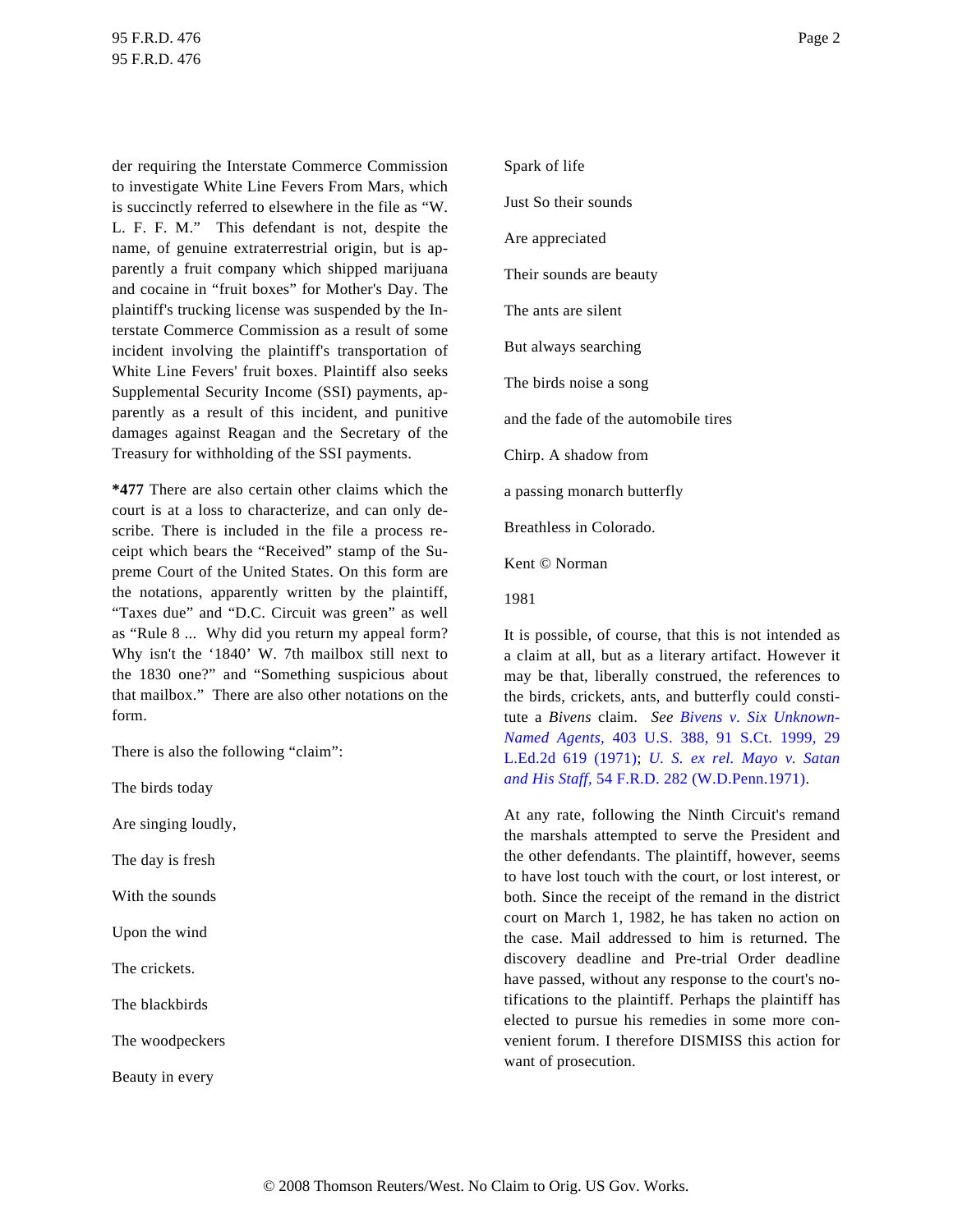der requiring the Interstate Commerce Commission to investigate White Line Fevers From Mars, which is succinctly referred to elsewhere in the file as "W. L. F. F. M." This defendant is not, despite the name, of genuine extraterrestrial origin, but is apparently a fruit company which shipped marijuana and cocaine in "fruit boxes" for Mother's Day. The plaintiff's trucking license was suspended by the Interstate Commerce Commission as a result of some incident involving the plaintiff's transportation of White Line Fevers' fruit boxes. Plaintiff also seeks Supplemental Security Income (SSI) payments, apparently as a result of this incident, and punitive damages against Reagan and the Secretary of the Treasury for withholding of the SSI payments.

**\*477** There are also certain other claims which the court is at a loss to characterize, and can only describe. There is included in the file a process receipt which bears the "Received" stamp of the Supreme Court of the United States. On this form are the notations, apparently written by the plaintiff, "Taxes due" and "D.C. Circuit was green" as well as "Rule 8 ... Why did you return my appeal form? Why isn't the '1840' W. 7th mailbox still next to the 1830 one?" and "Something suspicious about that mailbox." There are also other notations on the form.

There is also the following "claim":

The birds today

Are singing loudly,

The day is fresh

With the sounds

Upon the wind

The crickets.

The blackbirds

The woodpeckers

Beauty in every

Spark of life Just So their sounds Are appreciated Their sounds are beauty The ants are silent But always searching The birds noise a song and the fade of the automobile tires Chirp. A shadow from a passing monarch butterfly Breathless in Colorado.

Kent © Norman

1981

It is possible, of course, that this is not intended as a claim at all, but as a literary artifact. However it may be that, liberally construed, the references to the birds, crickets, ants, and butterfly could constitute a *Bivens* claim. *See [Bivens v. Six Unknown](http://www.westlaw.com/Find/Default.wl?rs=FIPI1.0&vr=2.0&DB=708&FindType=Y&SerialNum=1971127105)-[Named Agents](http://www.westlaw.com/Find/Default.wl?rs=FIPI1.0&vr=2.0&DB=708&FindType=Y&SerialNum=1971127105),* [403 U.S. 388, 91 S.Ct. 1999,](http://www.westlaw.com/Find/Default.wl?rs=FIPI1.0&vr=2.0&DB=708&FindType=Y&SerialNum=1971127105) 29 [L.Ed.2d 619 \(1971](http://www.westlaw.com/Find/Default.wl?rs=FIPI1.0&vr=2.0&DB=708&FindType=Y&SerialNum=1971127105)); *[U. S. ex rel. Mayo v. Sat](http://www.westlaw.com/Find/Default.wl?rs=FIPI1.0&vr=2.0&DB=344&FindType=Y&SerialNum=1971104148)an [and His Staff](http://www.westlaw.com/Find/Default.wl?rs=FIPI1.0&vr=2.0&DB=344&FindType=Y&SerialNum=1971104148),* [54 F.R.D. 282 \(W.D.Penn.1971\)](http://www.westlaw.com/Find/Default.wl?rs=FIPI1.0&vr=2.0&DB=344&FindType=Y&SerialNum=1971104148).

At any rate, following the Ninth Circuit's remand the marshals attempted to serve the President and the other defendants. The plaintiff, however, seems to have lost touch with the court, or lost interest, or both. Since the receipt of the remand in the district court on March 1, 1982, he has taken no action on the case. Mail addressed to him is returned. The discovery deadline and Pre-trial Order deadline have passed, without any response to the court's notifications to the plaintiff. Perhaps the plaintiff has elected to pursue his remedies in some more convenient forum. I therefore DISMISS this action for want of prosecution.